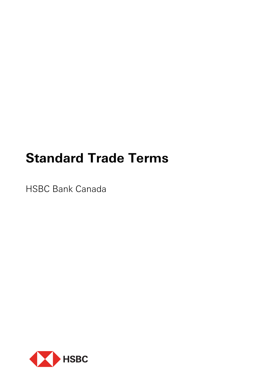# **Standard Trade Terms**

HSBC Bank Canada

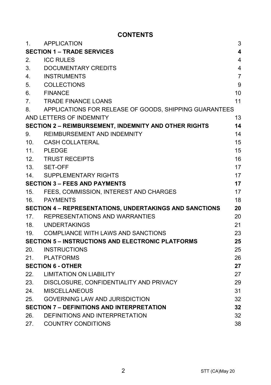# **CONTENTS**

| 1.                                                             | <b>APPLICATION</b>                                     | 3              |
|----------------------------------------------------------------|--------------------------------------------------------|----------------|
| <b>SECTION 1 – TRADE SERVICES</b>                              |                                                        | 4              |
| 2.                                                             | <b>ICC RULES</b>                                       | 4              |
| 3.                                                             | DOCUMENTARY CREDITS                                    | $\overline{4}$ |
| 4 <sub>1</sub>                                                 | INSTRUMENTS                                            | 7              |
| 5.                                                             | COLLECTIONS                                            | 9              |
| 6.                                                             | <b>FINANCE</b>                                         | 10             |
| 7.                                                             | <b>TRADE FINANCE LOANS</b>                             | 11             |
| 8.                                                             | APPLICATIONS FOR RELEASE OF GOODS, SHIPPING GUARANTEES |                |
|                                                                | AND LETTERS OF INDEMNITY                               | 13             |
|                                                                | SECTION 2 - REIMBURSEMENT, INDEMNITY AND OTHER RIGHTS  | 14             |
| 9.                                                             | REIMBURSEMENT AND INDEMNITY                            | 14             |
| 10.                                                            | CASH COLLATERAL                                        | 15             |
| 11.                                                            | PLEDGE                                                 | 15             |
|                                                                | 12. TRUST RECEIPTS                                     | 16             |
|                                                                | 13. SET-OFF                                            | 17             |
| 14.                                                            | SUPPLEMENTARY RIGHTS                                   | 17             |
| <b>SECTION 3 - FEES AND PAYMENTS</b>                           |                                                        | 17             |
| 15.                                                            | FEES, COMMISSION, INTEREST AND CHARGES                 | 17             |
|                                                                | 16. PAYMENTS                                           | 18             |
| <b>SECTION 4 - REPRESENTATIONS, UNDERTAKINGS AND SANCTIONS</b> |                                                        | 20             |
| 17.                                                            | REPRESENTATIONS AND WARRANTIES                         | 20             |
|                                                                | 18. UNDERTAKINGS                                       | 21             |
|                                                                | 19. COMPLIANCE WITH LAWS AND SANCTIONS                 | 23             |
| <b>SECTION 5 - INSTRUCTIONS AND ELECTRONIC PLATFORMS</b>       |                                                        | 25             |
| 20.                                                            | <b>INSTRUCTIONS</b>                                    | 25             |
|                                                                | 21. PLATFORMS                                          | 26             |
| <b>SECTION 6 - OTHER</b>                                       |                                                        | 27             |
| 22.                                                            | <b>LIMITATION ON LIABILITY</b>                         | 27             |
|                                                                | 23. DISCLOSURE, CONFIDENTIALITY AND PRIVACY            | 29             |
| 24.                                                            | MISCELLANEOUS                                          | 31             |
| 25.                                                            | <b>GOVERNING LAW AND JURISDICTION</b>                  | 32             |
| <b>SECTION 7 - DEFINITIONS AND INTERPRETATION</b>              |                                                        | 32             |
| 26.                                                            | DEFINITIONS AND INTERPRETATION                         | 32             |
| 27.                                                            | <b>COUNTRY CONDITIONS</b>                              | 38             |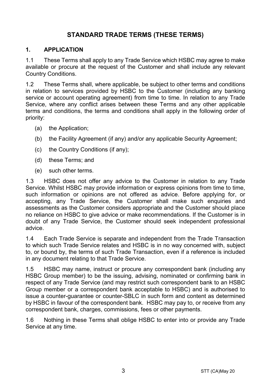# **STANDARD TRADE TERMS (THESE TERMS)**

## **1. APPLICATION**

1.1 These Terms shall apply to any Trade Service which HSBC may agree to make available or procure at the request of the Customer and shall include any relevant Country Conditions.

1.2 These Terms shall, where applicable, be subject to other terms and conditions in relation to services provided by HSBC to the Customer (including any banking service or account operating agreement) from time to time. In relation to any Trade Service, where any conflict arises between these Terms and any other applicable terms and conditions, the terms and conditions shall apply in the following order of priority:

- (a) the Application;
- (b) the Facility Agreement (if any) and/or any applicable Security Agreement;
- (c) the Country Conditions (if any);
- (d) these Terms; and
- (e) such other terms.

1.3 HSBC does not offer any advice to the Customer in relation to any Trade Service. Whilst HSBC may provide information or express opinions from time to time, such information or opinions are not offered as advice. Before applying for, or accepting, any Trade Service, the Customer shall make such enquiries and assessments as the Customer considers appropriate and the Customer should place no reliance on HSBC to give advice or make recommendations. If the Customer is in doubt of any Trade Service, the Customer should seek independent professional advice.

1.4 Each Trade Service is separate and independent from the Trade Transaction to which such Trade Service relates and HSBC is in no way concerned with, subject to, or bound by, the terms of such Trade Transaction, even if a reference is included in any document relating to that Trade Service.

1.5 HSBC may name, instruct or procure any correspondent bank (including any HSBC Group member) to be the issuing, advising, nominated or confirming bank in respect of any Trade Service (and may restrict such correspondent bank to an HSBC Group member or a correspondent bank acceptable to HSBC) and is authorised to issue a counter-guarantee or counter-SBLC in such form and content as determined by HSBC in favour of the correspondent bank. HSBC may pay to, or receive from any correspondent bank, charges, commissions, fees or other payments.

1.6 Nothing in these Terms shall oblige HSBC to enter into or provide any Trade Service at any time.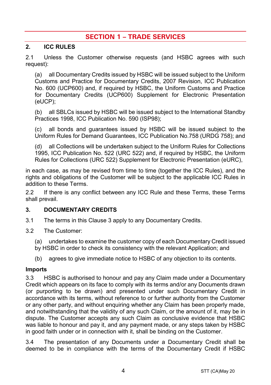# **SECTION 1 – TRADE SERVICES**

#### **2. ICC RULES**

2.1 Unless the Customer otherwise requests (and HSBC agrees with such request):

(a) all Documentary Credits issued by HSBC will be issued subject to the Uniform Customs and Practice for Documentary Credits, 2007 Revision, ICC Publication No. 600 (UCP600) and, if required by HSBC, the Uniform Customs and Practice for Documentary Credits (UCP600) Supplement for Electronic Presentation (eUCP);

(b) all SBLCs issued by HSBC will be issued subject to the International Standby Practices 1998, ICC Publication No. 590 (ISP98);

(c) all bonds and guarantees issued by HSBC will be issued subject to the Uniform Rules for Demand Guarantees, ICC Publication No.758 (URDG 758); and

(d) all Collections will be undertaken subject to the Uniform Rules for Collections 1995, ICC Publication No. 522 (URC 522) and, if required by HSBC, the Uniform Rules for Collections (URC 522) Supplement for Electronic Presentation (eURC),

in each case, as may be revised from time to time (together the ICC Rules), and the rights and obligations of the Customer will be subject to the applicable ICC Rules in addition to these Terms.

2.2 If there is any conflict between any ICC Rule and these Terms, these Terms shall prevail.

# **3. DOCUMENTARY CREDITS**

- 3.1 The terms in this Clause 3 apply to any Documentary Credits.
- 3.2 The Customer:
	- (a) undertakes to examine the customer copy of each Documentary Credit issued
	- by HSBC in order to check its consistency with the relevant Application; and
	- (b) agrees to give immediate notice to HSBC of any objection to its contents.

#### **Imports**

3.3 HSBC is authorised to honour and pay any Claim made under a Documentary Credit which appears on its face to comply with its terms and/or any Documents drawn (or purporting to be drawn) and presented under such Documentary Credit in accordance with its terms, without reference to or further authority from the Customer or any other party, and without enquiring whether any Claim has been properly made, and notwithstanding that the validity of any such Claim, or the amount of it, may be in dispute. The Customer accepts any such Claim as conclusive evidence that HSBC was liable to honour and pay it, and any payment made, or any steps taken by HSBC in good faith under or in connection with it, shall be binding on the Customer.

3.4 The presentation of any Documents under a Documentary Credit shall be deemed to be in compliance with the terms of the Documentary Credit if HSBC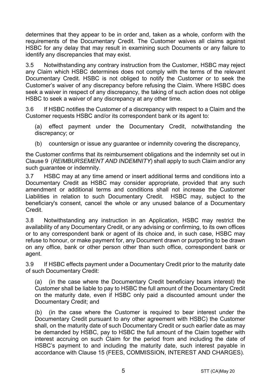determines that they appear to be in order and, taken as a whole, conform with the requirements of the Documentary Credit. The Customer waives all claims against HSBC for any delay that may result in examining such Documents or any failure to identify any discrepancies that may exist.

3.5 Notwithstanding any contrary instruction from the Customer, HSBC may reject any Claim which HSBC determines does not comply with the terms of the relevant Documentary Credit. HSBC is not obliged to notify the Customer or to seek the Customer's waiver of any discrepancy before refusing the Claim. Where HSBC does seek a waiver in respect of any discrepancy, the taking of such action does not oblige HSBC to seek a waiver of any discrepancy at any other time.

3.6 If HSBC notifies the Customer of a discrepancy with respect to a Claim and the Customer requests HSBC and/or its correspondent bank or its agent to:

(a) effect payment under the Documentary Credit, notwithstanding the discrepancy; or

(b) countersign or issue any guarantee or indemnity covering the discrepancy,

the Customer confirms that its reimbursement obligations and the indemnity set out in Clause 9 (*REIMBURSEMENT AND INDEMNITY*) shall apply to such Claim and/or any such guarantee or indemnity.

3.7 HSBC may at any time amend or insert additional terms and conditions into a Documentary Credit as HSBC may consider appropriate, provided that any such amendment or additional terms and conditions shall not increase the Customer Liabilities in relation to such Documentary Credit. HSBC may, subject to the beneficiary's consent, cancel the whole or any unused balance of a Documentary Credit.

3.8 Notwithstanding any instruction in an Application, HSBC may restrict the availability of any Documentary Credit, or any advising or confirming, to its own offices or to any correspondent bank or agent of its choice and, in such case, HSBC may refuse to honour, or make payment for, any Document drawn or purporting to be drawn on any office, bank or other person other than such office, correspondent bank or agent.

3.9 If HSBC effects payment under a Documentary Credit prior to the maturity date of such Documentary Credit:

(a) (in the case where the Documentary Credit beneficiary bears interest) the Customer shall be liable to pay to HSBC the full amount of the Documentary Credit on the maturity date, even if HSBC only paid a discounted amount under the Documentary Credit; and

(b) (in the case where the Customer is required to bear interest under the Documentary Credit pursuant to any other agreement with HSBC) the Customer shall, on the maturity date of such Documentary Credit or such earlier date as may be demanded by HSBC, pay to HSBC the full amount of the Claim together with interest accruing on such Claim for the period from and including the date of HSBC's payment to and including the maturity date, such interest payable in accordance with Clause 15 (FEES, COMMISSION, INTEREST AND CHARGES).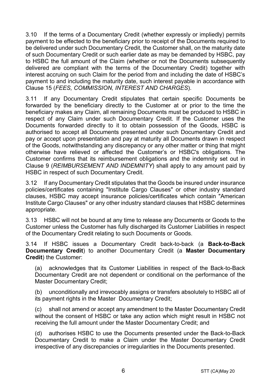3.10 If the terms of a Documentary Credit (whether expressly or impliedly) permits payment to be effected to the beneficiary prior to receipt of the Documents required to be delivered under such Documentary Credit, the Customer shall, on the maturity date of such Documentary Credit or such earlier date as may be demanded by HSBC, pay to HSBC the full amount of the Claim (whether or not the Documents subsequently delivered are compliant with the terms of the Documentary Credit) together with interest accruing on such Claim for the period from and including the date of HSBC's payment to and including the maturity date, such interest payable in accordance with Clause 15 (*FEES, COMMISSION, INTEREST AND CHARGES*).

3.11 If any Documentary Credit stipulates that certain specific Documents be forwarded by the beneficiary directly to the Customer at or prior to the time the beneficiary makes any Claim, all remaining Documents must be produced to HSBC in respect of any Claim under such Documentary Credit. If the Customer uses the Documents forwarded directly to it to obtain possession of the Goods, HSBC is authorised to accept all Documents presented under such Documentary Credit and pay or accept upon presentation and pay at maturity all Documents drawn in respect of the Goods, notwithstanding any discrepancy or any other matter or thing that might otherwise have relieved or affected the Customer's or HSBC's obligations. The Customer confirms that its reimbursement obligations and the indemnity set out in Clause 9 (*REIMBURSEMENT AND INDEMNITY*) shall apply to any amount paid by HSBC in respect of such Documentary Credit.

3.12 If any Documentary Credit stipulates that the Goods be insured under insurance policies/certificates containing "Institute Cargo Clauses" or other industry standard clauses, HSBC may accept insurance policies/certificates which contain "American Institute Cargo Clauses" or any other industry standard clauses that HSBC determines appropriate.

3.13 HSBC will not be bound at any time to release any Documents or Goods to the Customer unless the Customer has fully discharged its Customer Liabilities in respect of the Documentary Credit relating to such Documents or Goods.

3.14 If HSBC issues a Documentary Credit back-to-back (a **Back-to-Back Documentary Credit**) to another Documentary Credit (a **Master Documentary Credit**) the Customer:

(a) acknowledges that its Customer Liabilities in respect of the Back-to-Back Documentary Credit are not dependent or conditional on the performance of the Master Documentary Credit;

(b) unconditionally and irrevocably assigns or transfers absolutely to HSBC all of its payment rights in the Master Documentary Credit;

(c) shall not amend or accept any amendment to the Master Documentary Credit without the consent of HSBC or take any action which might result in HSBC not receiving the full amount under the Master Documentary Credit; and

(d) authorises HSBC to use the Documents presented under the Back-to-Back Documentary Credit to make a Claim under the Master Documentary Credit irrespective of any discrepancies or irregularities in the Documents presented.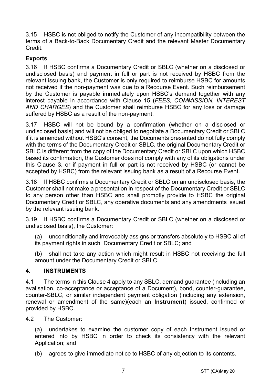3.15 HSBC is not obliged to notify the Customer of any incompatibility between the terms of a Back-to-Back Documentary Credit and the relevant Master Documentary Credit.

# **Exports**

3.16 If HSBC confirms a Documentary Credit or SBLC (whether on a disclosed or undisclosed basis) and payment in full or part is not received by HSBC from the relevant issuing bank, the Customer is only required to reimburse HSBC for amounts not received if the non-payment was due to a Recourse Event. Such reimbursement by the Customer is payable immediately upon HSBC's demand together with any interest payable in accordance with Clause 15 (*FEES, COMMISSION, INTEREST AND CHARGES*) and the Customer shall reimburse HSBC for any loss or damage suffered by HSBC as a result of the non-payment.

3.17 HSBC will not be bound by a confirmation (whether on a disclosed or undisclosed basis) and will not be obliged to negotiate a Documentary Credit or SBLC if it is amended without HSBC's consent, the Documents presented do not fully comply with the terms of the Documentary Credit or SBLC, the original Documentary Credit or SBLC is different from the copy of the Documentary Credit or SBLC upon which HSBC based its confirmation, the Customer does not comply with any of its obligations under this Clause 3, or if payment in full or part is not received by HSBC (or cannot be accepted by HSBC) from the relevant issuing bank as a result of a Recourse Event.

3.18 If HSBC confirms a Documentary Credit or SBLC on an undisclosed basis, the Customer shall not make a presentation in respect of the Documentary Credit or SBLC to any person other than HSBC and shall promptly provide to HSBC the original Documentary Credit or SBLC, any operative documents and any amendments issued by the relevant issuing bank.

3.19 If HSBC confirms a Documentary Credit or SBLC (whether on a disclosed or undisclosed basis), the Customer:

(a) unconditionally and irrevocably assigns or transfers absolutely to HSBC all of its payment rights in such Documentary Credit or SBLC; and

(b) shall not take any action which might result in HSBC not receiving the full amount under the Documentary Credit or SBLC.

# **4. INSTRUMENTS**

4.1 The terms in this Clause 4 apply to any SBLC, demand guarantee (including an avalisation, co-acceptance or acceptance of a Document), bond, counter-guarantee, counter-SBLC, or similar independent payment obligation (including any extension, renewal or amendment of the same)(each an **Instrument**) issued, confirmed or provided by HSBC.

4.2 The Customer:

(a) undertakes to examine the customer copy of each Instrument issued or entered into by HSBC in order to check its consistency with the relevant Application; and

(b) agrees to give immediate notice to HSBC of any objection to its contents.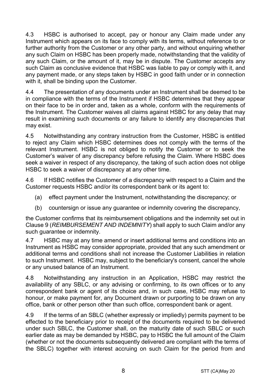4.3 HSBC is authorised to accept, pay or honour any Claim made under any Instrument which appears on its face to comply with its terms, without reference to or further authority from the Customer or any other party, and without enquiring whether any such Claim on HSBC has been properly made, notwithstanding that the validity of any such Claim, or the amount of it, may be in dispute. The Customer accepts any such Claim as conclusive evidence that HSBC was liable to pay or comply with it, and any payment made, or any steps taken by HSBC in good faith under or in connection with it, shall be binding upon the Customer.

4.4 The presentation of any documents under an Instrument shall be deemed to be in compliance with the terms of the Instrument if HSBC determines that they appear on their face to be in order and, taken as a whole, conform with the requirements of the Instrument. The Customer waives all claims against HSBC for any delay that may result in examining such documents or any failure to identify any discrepancies that may exist.

4.5 Notwithstanding any contrary instruction from the Customer, HSBC is entitled to reject any Claim which HSBC determines does not comply with the terms of the relevant Instrument. HSBC is not obliged to notify the Customer or to seek the Customer's waiver of any discrepancy before refusing the Claim. Where HSBC does seek a waiver in respect of any discrepancy, the taking of such action does not oblige HSBC to seek a waiver of discrepancy at any other time.

4.6 If HSBC notifies the Customer of a discrepancy with respect to a Claim and the Customer requests HSBC and/or its correspondent bank or its agent to:

- (a) effect payment under the Instrument, notwithstanding the discrepancy; or
- (b) countersign or issue any guarantee or indemnity covering the discrepancy,

the Customer confirms that its reimbursement obligations and the indemnity set out in Clause 9 (*REIMBURSEMENT AND INDEMNITY*) shall apply to such Claim and/or any such guarantee or indemnity.

4.7 HSBC may at any time amend or insert additional terms and conditions into an Instrument as HSBC may consider appropriate, provided that any such amendment or additional terms and conditions shall not increase the Customer Liabilities in relation to such Instrument. HSBC may, subject to the beneficiary's consent, cancel the whole or any unused balance of an Instrument.

4.8 Notwithstanding any instruction in an Application, HSBC may restrict the availability of any SBLC, or any advising or confirming, to its own offices or to any correspondent bank or agent of its choice and, in such case, HSBC may refuse to honour, or make payment for, any Document drawn or purporting to be drawn on any office, bank or other person other than such office, correspondent bank or agent.

4.9 If the terms of an SBLC (whether expressly or impliedly) permits payment to be effected to the beneficiary prior to receipt of the documents required to be delivered under such SBLC, the Customer shall, on the maturity date of such SBLC or such earlier date as may be demanded by HSBC, pay to HSBC the full amount of the Claim (whether or not the documents subsequently delivered are compliant with the terms of the SBLC) together with interest accruing on such Claim for the period from and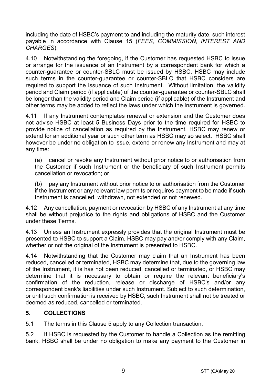including the date of HSBC's payment to and including the maturity date, such interest payable in accordance with Clause 15 (*FEES, COMMISSION, INTEREST AND CHARGES*).

4.10 Notwithstanding the foregoing, if the Customer has requested HSBC to issue or arrange for the issuance of an Instrument by a correspondent bank for which a counter-guarantee or counter-SBLC must be issued by HSBC, HSBC may include such terms in the counter-guarantee or counter-SBLC that HSBC considers are required to support the issuance of such Instrument. Without limitation, the validity period and Claim period (if applicable) of the counter-guarantee or counter-SBLC shall be longer than the validity period and Claim period (if applicable) of the Instrument and other terms may be added to reflect the laws under which the Instrument is governed.

4.11 If any Instrument contemplates renewal or extension and the Customer does not advise HSBC at least 5 Business Days prior to the time required for HSBC to provide notice of cancellation as required by the Instrument, HSBC may renew or extend for an additional year or such other term as HSBC may so select. HSBC shall however be under no obligation to issue, extend or renew any Instrument and may at any time:

(a) cancel or revoke any Instrument without prior notice to or authorisation from the Customer if such Instrument or the beneficiary of such Instrument permits cancellation or revocation; or

(b) pay any Instrument without prior notice to or authorisation from the Customer if the Instrument or any relevant law permits or requires payment to be made if such Instrument is cancelled, withdrawn, not extended or not renewed.

4.12 Any cancellation, payment or revocation by HSBC of any Instrument at any time shall be without prejudice to the rights and obligations of HSBC and the Customer under these Terms.

4.13 Unless an Instrument expressly provides that the original Instrument must be presented to HSBC to support a Claim, HSBC may pay and/or comply with any Claim, whether or not the original of the Instrument is presented to HSBC.

4.14 Notwithstanding that the Customer may claim that an Instrument has been reduced, cancelled or terminated, HSBC may determine that, due to the governing law of the Instrument, it is has not been reduced, cancelled or terminated, or HSBC may determine that it is necessary to obtain or require the relevant beneficiary's confirmation of the reduction, release or discharge of HSBC's and/or any correspondent bank's liabilities under such Instrument. Subject to such determination, or until such confirmation is received by HSBC, such Instrument shall not be treated or deemed as reduced, cancelled or terminated.

# **5. COLLECTIONS**

5.1 The terms in this Clause 5 apply to any Collection transaction.

5.2 If HSBC is requested by the Customer to handle a Collection as the remitting bank, HSBC shall be under no obligation to make any payment to the Customer in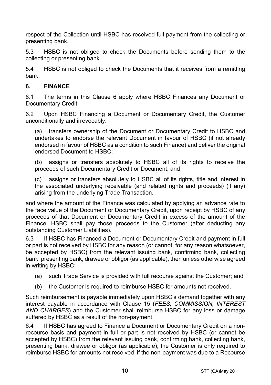respect of the Collection until HSBC has received full payment from the collecting or presenting bank.

5.3 HSBC is not obliged to check the Documents before sending them to the collecting or presenting bank.

5.4 HSBC is not obliged to check the Documents that it receives from a remitting bank.

# **6. FINANCE**

6.1 The terms in this Clause 6 apply where HSBC Finances any Document or Documentary Credit.

6.2 Upon HSBC Financing a Document or Documentary Credit, the Customer unconditionally and irrevocably:

(a) transfers ownership of the Document or Documentary Credit to HSBC and undertakes to endorse the relevant Document in favour of HSBC (if not already endorsed in favour of HSBC as a condition to such Finance) and deliver the original endorsed Document to HSBC;

(b) assigns or transfers absolutely to HSBC all of its rights to receive the proceeds of such Documentary Credit or Document; and

(c) assigns or transfers absolutely to HSBC all of its rights, title and interest in the associated underlying receivable (and related rights and proceeds) (if any) arising from the underlying Trade Transaction,

and where the amount of the Finance was calculated by applying an advance rate to the face value of the Document or Documentary Credit, upon receipt by HSBC of any proceeds of that Document or Documentary Credit in excess of the amount of the Finance, HSBC shall pay those proceeds to the Customer (after deducting any outstanding Customer Liabilities).

6.3 If HSBC has Financed a Document or Documentary Credit and payment in full or part is not received by HSBC for any reason (or cannot, for any reason whatsoever, be accepted by HSBC) from the relevant issuing bank, confirming bank, collecting bank, presenting bank, drawee or obligor (as applicable), then unless otherwise agreed in writing by HSBC:

- (a) such Trade Service is provided with full recourse against the Customer; and
- (b) the Customer is required to reimburse HSBC for amounts not received.

Such reimbursement is payable immediately upon HSBC's demand together with any interest payable in accordance with Clause 15 (*FEES, COMMISSION, INTEREST AND CHARGES*) and the Customer shall reimburse HSBC for any loss or damage suffered by HSBC as a result of the non-payment.

6.4 If HSBC has agreed to Finance a Document or Documentary Credit on a nonrecourse basis and payment in full or part is not received by HSBC (or cannot be accepted by HSBC) from the relevant issuing bank, confirming bank, collecting bank, presenting bank, drawee or obligor (as applicable), the Customer is only required to reimburse HSBC for amounts not received if the non-payment was due to a Recourse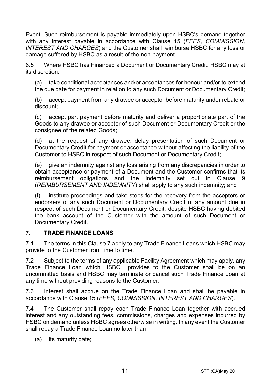Event. Such reimbursement is payable immediately upon HSBC's demand together with any interest payable in accordance with Clause 15 (*FEES, COMMISSION, INTEREST AND CHARGES*) and the Customer shall reimburse HSBC for any loss or damage suffered by HSBC as a result of the non-payment.

6.5 Where HSBC has Financed a Document or Documentary Credit, HSBC may at its discretion:

(a) take conditional acceptances and/or acceptances for honour and/or to extend the due date for payment in relation to any such Document or Documentary Credit;

(b) accept payment from any drawee or acceptor before maturity under rebate or discount;

(c) accept part payment before maturity and deliver a proportionate part of the Goods to any drawee or acceptor of such Document or Documentary Credit or the consignee of the related Goods;

(d) at the request of any drawee, delay presentation of such Document or Documentary Credit for payment or acceptance without affecting the liability of the Customer to HSBC in respect of such Document or Documentary Credit;

(e) give an indemnity against any loss arising from any discrepancies in order to obtain acceptance or payment of a Document and the Customer confirms that its reimbursement obligations and the indemnity set out in Clause 9 (*REIMBURSEMENT AND INDEMNITY*) shall apply to any such indemnity; and

(f) institute proceedings and take steps for the recovery from the acceptors or endorsers of any such Document or Documentary Credit of any amount due in respect of such Document or Documentary Credit, despite HSBC having debited the bank account of the Customer with the amount of such Document or Documentary Credit.

# **7. TRADE FINANCE LOANS**

7.1 The terms in this Clause 7 apply to any Trade Finance Loans which HSBC may provide to the Customer from time to time.

7.2 Subject to the terms of any applicable Facility Agreement which may apply, any Trade Finance Loan which HSBC provides to the Customer shall be on an uncommitted basis and HSBC may terminate or cancel such Trade Finance Loan at any time without providing reasons to the Customer.

7.3 Interest shall accrue on the Trade Finance Loan and shall be payable in accordance with Clause 15 (*FEES, COMMISSION, INTEREST AND CHARGES*).

7.4 The Customer shall repay each Trade Finance Loan together with accrued interest and any outstanding fees, commissions, charges and expenses incurred by HSBC on demand unless HSBC agrees otherwise in writing. In any event the Customer shall repay a Trade Finance Loan no later than:

(a) its maturity date;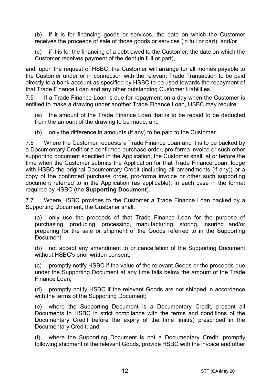(b) if it is for financing goods or services, the date on which the Customer receives the proceeds of sale of those goods or services (in full or part); and/or

(c) if it is for the financing of a debt owed to the Customer, the date on which the Customer receives payment of the debt (in full or part),

and, upon the request of HSBC, the Customer will arrange for all monies payable to the Customer under or in connection with the relevant Trade Transaction to be paid directly to a bank account as specified by HSBC to be used towards the repayment of that Trade Finance Loan and any other outstanding Customer Liabilities.

7.5 If a Trade Finance Loan is due for repayment on a day when the Customer is entitled to make a drawing under another Trade Finance Loan, HSBC may require:

(a) the amount of the Trade Finance Loan that is to be repaid to be deducted from the amount of the drawing to be made; and

(b) only the difference in amounts (if any) to be paid to the Customer.

7.6 Where the Customer requests a Trade Finance Loan and it is to be backed by a Documentary Credit or a confirmed purchase order, pro-forma invoice or such other supporting document specified in the Application, the Customer shall, at or before the time when the Customer submits the Application for that Trade Finance Loan, lodge with HSBC the original Documentary Credit (including all amendments (if any)) or a copy of the confirmed purchase order, pro-forma invoice or other such supporting document referred to in the Application (as applicable), in each case in the format required by HSBC (the **Supporting Document**).

7.7 Where HSBC provides to the Customer a Trade Finance Loan backed by a Supporting Document, the Customer shall:

(a) only use the proceeds of that Trade Finance Loan for the purpose of purchasing, producing, processing, manufacturing, storing, insuring and/or preparing for the sale or shipment of the Goods referred to in the Supporting Document;

(b) not accept any amendment to or cancellation of the Supporting Document without HSBC's prior written consent;

(c) promptly notify HSBC if the value of the relevant Goods or the proceeds due under the Supporting Document at any time falls below the amount of the Trade Finance Loan;

(d) promptly notify HSBC if the relevant Goods are not shipped in accordance with the terms of the Supporting Document;

(e) where the Supporting Document is a Documentary Credit, present all Documents to HSBC in strict compliance with the terms and conditions of the Documentary Credit before the expiry of the time limit(s) prescribed in the Documentary Credit; and

(f) where the Supporting Document is not a Documentary Credit, promptly following shipment of the relevant Goods, provide HSBC with the invoice and other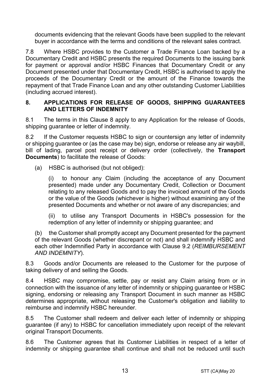documents evidencing that the relevant Goods have been supplied to the relevant buyer in accordance with the terms and conditions of the relevant sales contract.

7.8 Where HSBC provides to the Customer a Trade Finance Loan backed by a Documentary Credit and HSBC presents the required Documents to the issuing bank for payment or approval and/or HSBC Finances that Documentary Credit or any Document presented under that Documentary Credit, HSBC is authorised to apply the proceeds of the Documentary Credit or the amount of the Finance towards the repayment of that Trade Finance Loan and any other outstanding Customer Liabilities (including accrued interest).

#### **8. APPLICATIONS FOR RELEASE OF GOODS, SHIPPING GUARANTEES AND LETTERS OF INDEMNITY**

8.1 The terms in this Clause 8 apply to any Application for the release of Goods, shipping quarantee or letter of indemnity.

8.2 If the Customer requests HSBC to sign or countersign any letter of indemnity or shipping guarantee or (as the case may be) sign, endorse or release any air waybill, bill of lading, parcel post receipt or delivery order (collectively, the **Transport Documents**) to facilitate the release of Goods:

(a) HSBC is authorised (but not obliged):

(i) to honour any Claim (including the acceptance of any Document presented) made under any Documentary Credit, Collection or Document relating to any released Goods and to pay the invoiced amount of the Goods or the value of the Goods (whichever is higher) without examining any of the presented Documents and whether or not aware of any discrepancies; and

(ii) to utilise any Transport Documents in HSBC's possession for the redemption of any letter of indemnity or shipping guarantee; and

(b) the Customer shall promptly accept any Document presented for the payment of the relevant Goods (whether discrepant or not) and shall indemnify HSBC and each other Indemnified Party in accordance with Clause 9.2 (*REIMBURSEMENT AND INDEMNITY*).

8.3 Goods and/or Documents are released to the Customer for the purpose of taking delivery of and selling the Goods.

8.4 HSBC may compromise, settle, pay or resist any Claim arising from or in connection with the issuance of any letter of indemnity or shipping guarantee or HSBC signing, endorsing or releasing any Transport Document in such manner as HSBC determines appropriate, without releasing the Customer's obligation and liability to reimburse and indemnify HSBC hereunder.

8.5 The Customer shall redeem and deliver each letter of indemnity or shipping guarantee (if any) to HSBC for cancellation immediately upon receipt of the relevant original Transport Documents.

8.6 The Customer agrees that its Customer Liabilities in respect of a letter of indemnity or shipping guarantee shall continue and shall not be reduced until such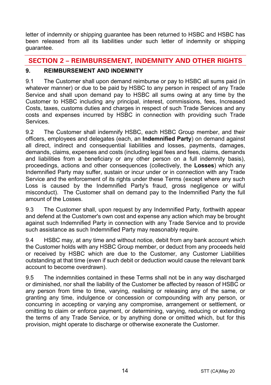letter of indemnity or shipping guarantee has been returned to HSBC and HSBC has been released from all its liabilities under such letter of indemnity or shipping guarantee.

# **SECTION 2 – REIMBURSEMENT, INDEMNITY AND OTHER RIGHTS**

# **9. REIMBURSEMENT AND INDEMNITY**

9.1 The Customer shall upon demand reimburse or pay to HSBC all sums paid (in whatever manner) or due to be paid by HSBC to any person in respect of any Trade Service and shall upon demand pay to HSBC all sums owing at any time by the Customer to HSBC including any principal, interest, commissions, fees, Increased Costs, taxes, customs duties and charges in respect of such Trade Services and any costs and expenses incurred by HSBC in connection with providing such Trade **Services** 

9.2 The Customer shall indemnify HSBC, each HSBC Group member, and their officers, employees and delegates (each, an **Indemnified Party**) on demand against all direct, indirect and consequential liabilities and losses, payments, damages, demands, claims, expenses and costs (including legal fees and fees, claims, demands and liabilities from a beneficiary or any other person on a full indemnity basis), proceedings, actions and other consequences (collectively, the **Losses**) which any Indemnified Party may suffer, sustain or incur under or in connection with any Trade Service and the enforcement of its rights under these Terms (except where any such Loss is caused by the Indemnified Party's fraud, gross negligence or wilful misconduct). The Customer shall on demand pay to the Indemnified Party the full amount of the Losses.

9.3 The Customer shall, upon request by any Indemnified Party, forthwith appear and defend at the Customer's own cost and expense any action which may be brought against such Indemnified Party in connection with any Trade Service and to provide such assistance as such Indemnified Party may reasonably require.

9.4 HSBC may, at any time and without notice, debit from any bank account which the Customer holds with any HSBC Group member, or deduct from any proceeds held or received by HSBC which are due to the Customer, any Customer Liabilities outstanding at that time (even if such debit or deduction would cause the relevant bank account to become overdrawn).

9.5 The indemnities contained in these Terms shall not be in any way discharged or diminished, nor shall the liability of the Customer be affected by reason of HSBC or any person from time to time, varying, realising or releasing any of the same, or granting any time, indulgence or concession or compounding with any person, or concurring in accepting or varying any compromise, arrangement or settlement, or omitting to claim or enforce payment, or determining, varying, reducing or extending the terms of any Trade Service, or by anything done or omitted which, but for this provision, might operate to discharge or otherwise exonerate the Customer.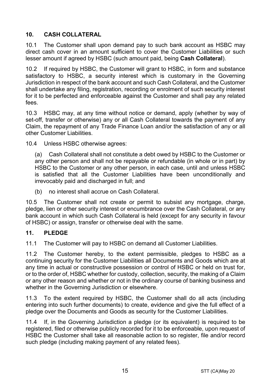# **10. CASH COLLATERAL**

10.1 The Customer shall upon demand pay to such bank account as HSBC may direct cash cover in an amount sufficient to cover the Customer Liabilities or such lesser amount if agreed by HSBC (such amount paid, being **Cash Collateral**).

10.2 If required by HSBC, the Customer will grant to HSBC, in form and substance satisfactory to HSBC, a security interest which is customary in the Governing Jurisdiction in respect of the bank account and such Cash Collateral, and the Customer shall undertake any filing, registration, recording or enrolment of such security interest for it to be perfected and enforceable against the Customer and shall pay any related fees.

10.3 HSBC may, at any time without notice or demand, apply (whether by way of set-off, transfer or otherwise) any or all Cash Collateral towards the payment of any Claim, the repayment of any Trade Finance Loan and/or the satisfaction of any or all other Customer Liabilities.

10.4 Unless HSBC otherwise agrees:

(a) Cash Collateral shall not constitute a debt owed by HSBC to the Customer or any other person and shall not be repayable or refundable (in whole or in part) by HSBC to the Customer or any other person, in each case, until and unless HSBC is satisfied that all the Customer Liabilities have been unconditionally and irrevocably paid and discharged in full; and

(b) no interest shall accrue on Cash Collateral.

10.5 The Customer shall not create or permit to subsist any mortgage, charge, pledge, lien or other security interest or encumbrance over the Cash Collateral, or any bank account in which such Cash Collateral is held (except for any security in favour of HSBC) or assign, transfer or otherwise deal with the same.

# **11. PLEDGE**

11.1 The Customer will pay to HSBC on demand all Customer Liabilities.

11.2 The Customer hereby, to the extent permissible, pledges to HSBC as a continuing security for the Customer Liabilities all Documents and Goods which are at any time in actual or constructive possession or control of HSBC or held on trust for, or to the order of, HSBC whether for custody, collection, security, the making of a Claim or any other reason and whether or not in the ordinary course of banking business and whether in the Governing Jurisdiction or elsewhere.

11.3 To the extent required by HSBC, the Customer shall do all acts (including entering into such further documents) to create, evidence and give the full effect of a pledge over the Documents and Goods as security for the Customer Liabilities.

11.4 If, in the Governing Jurisdiction a pledge (or its equivalent) is required to be registered, filed or otherwise publicly recorded for it to be enforceable, upon request of HSBC the Customer shall take all reasonable action to so register, file and/or record such pledge (including making payment of any related fees).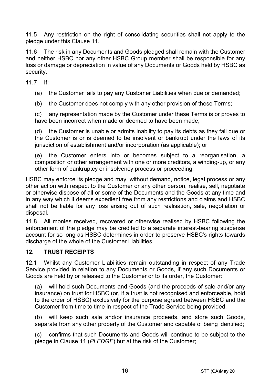11.5 Any restriction on the right of consolidating securities shall not apply to the pledge under this Clause 11.

11.6 The risk in any Documents and Goods pledged shall remain with the Customer and neither HSBC nor any other HSBC Group member shall be responsible for any loss or damage or depreciation in value of any Documents or Goods held by HSBC as security.

11.7 If:

(a) the Customer fails to pay any Customer Liabilities when due or demanded;

(b) the Customer does not comply with any other provision of these Terms;

(c) any representation made by the Customer under these Terms is or proves to have been incorrect when made or deemed to have been made;

(d) the Customer is unable or admits inability to pay its debts as they fall due or the Customer is or is deemed to be insolvent or bankrupt under the laws of its jurisdiction of establishment and/or incorporation (as applicable); or

(e) the Customer enters into or becomes subject to a reorganisation, a composition or other arrangement with one or more creditors, a winding-up, or any other form of bankruptcy or insolvency process or proceeding,

HSBC may enforce its pledge and may, without demand, notice, legal process or any other action with respect to the Customer or any other person, realise, sell, negotiate or otherwise dispose of all or some of the Documents and the Goods at any time and in any way which it deems expedient free from any restrictions and claims and HSBC shall not be liable for any loss arising out of such realisation, sale, negotiation or disposal.

11.8 All monies received, recovered or otherwise realised by HSBC following the enforcement of the pledge may be credited to a separate interest-bearing suspense account for so long as HSBC determines in order to preserve HSBC's rights towards discharge of the whole of the Customer Liabilities.

# **12. TRUST RECEIPTS**

12.1 Whilst any Customer Liabilities remain outstanding in respect of any Trade Service provided in relation to any Documents or Goods, if any such Documents or Goods are held by or released to the Customer or to its order, the Customer:

(a) will hold such Documents and Goods (and the proceeds of sale and/or any insurance) on trust for HSBC (or, if a trust is not recognised and enforceable, hold to the order of HSBC) exclusively for the purpose agreed between HSBC and the Customer from time to time in respect of the Trade Service being provided;

(b) will keep such sale and/or insurance proceeds, and store such Goods, separate from any other property of the Customer and capable of being identified;

(c) confirms that such Documents and Goods will continue to be subject to the pledge in Clause 11 (*PLEDGE*) but at the risk of the Customer;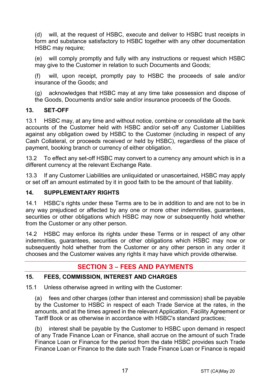(d) will, at the request of HSBC, execute and deliver to HSBC trust receipts in form and substance satisfactory to HSBC together with any other documentation HSBC may require:

(e) will comply promptly and fully with any instructions or request which HSBC may give to the Customer in relation to such Documents and Goods;

(f) will, upon receipt, promptly pay to HSBC the proceeds of sale and/or insurance of the Goods; and

(g) acknowledges that HSBC may at any time take possession and dispose of the Goods, Documents and/or sale and/or insurance proceeds of the Goods.

# **13. SET-OFF**

13.1 HSBC may, at any time and without notice, combine or consolidate all the bank accounts of the Customer held with HSBC and/or set-off any Customer Liabilities against any obligation owed by HSBC to the Customer (including in respect of any Cash Collateral, or proceeds received or held by HSBC), regardless of the place of payment, booking branch or currency of either obligation.

13.2 To effect any set-off HSBC may convert to a currency any amount which is in a different currency at the relevant Exchange Rate.

13.3 If any Customer Liabilities are unliquidated or unascertained, HSBC may apply or set off an amount estimated by it in good faith to be the amount of that liability.

# **14. SUPPLEMENTARY RIGHTS**

14.1 HSBC's rights under these Terms are to be in addition to and are not to be in any way prejudiced or affected by any one or more other indemnities, guarantees, securities or other obligations which HSBC may now or subsequently hold whether from the Customer or any other person.

14.2 HSBC may enforce its rights under these Terms or in respect of any other indemnities, guarantees, securities or other obligations which HSBC may now or subsequently hold whether from the Customer or any other person in any order it chooses and the Customer waives any rights it may have which provide otherwise.

# **SECTION 3 – FEES AND PAYMENTS**

# **15. FEES, COMMISSION, INTEREST AND CHARGES**

15.1 Unless otherwise agreed in writing with the Customer:

(a) fees and other charges (other than interest and commission) shall be payable by the Customer to HSBC in respect of each Trade Service at the rates, in the amounts, and at the times agreed in the relevant Application, Facility Agreement or Tariff Book or as otherwise in accordance with HSBC's standard practices;

(b) interest shall be payable by the Customer to HSBC upon demand in respect of any Trade Finance Loan or Finance, shall accrue on the amount of such Trade Finance Loan or Finance for the period from the date HSBC provides such Trade Finance Loan or Finance to the date such Trade Finance Loan or Finance is repaid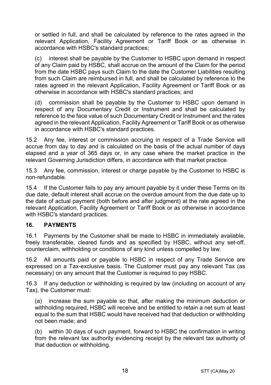or settled in full, and shall be calculated by reference to the rates agreed in the relevant Application, Facility Agreement or Tariff Book or as otherwise in accordance with HSBC's standard practices;

(c) interest shall be payable by the Customer to HSBC upon demand in respect of any Claim paid by HSBC, shall accrue on the amount of the Claim for the period from the date HSBC pays such Claim to the date the Customer Liabilities resulting from such Claim are reimbursed in full, and shall be calculated by reference to the rates agreed in the relevant Application, Facility Agreement or Tariff Book or as otherwise in accordance with HSBC's standard practices; and

(d) commission shall be payable by the Customer to HSBC upon demand in respect of any Documentary Credit or Instrument and shall be calculated by reference to the face value of such Documentary Credit or Instrument and the rates agreed in the relevant Application, Facility Agreement or Tariff Book or as otherwise in accordance with HSBC's standard practices.

15.2 Any fee, interest or commission accruing in respect of a Trade Service will accrue from day to day and is calculated on the basis of the actual number of days elapsed and a year of 365 days or, in any case where the market practice in the relevant Governing Jurisdiction differs, in accordance with that market practice.

15.3 Any fee, commission, interest or charge payable by the Customer to HSBC is non-refundable.

15.4 If the Customer fails to pay any amount payable by it under these Terms on its due date, default interest shall accrue on the overdue amount from the due date up to the date of actual payment (both before and after judgment) at the rate agreed in the relevant Application, Facility Agreement or Tariff Book or as otherwise in accordance with HSBC's standard practices.

# **16. PAYMENTS**

16.1 Payments by the Customer shall be made to HSBC in immediately available, freely transferable, cleared funds and as specified by HSBC, without any set-off, counterclaim, withholding or conditions of any kind unless compelled by law.

16.2 All amounts paid or payable to HSBC in respect of any Trade Service are expressed on a Tax-exclusive basis. The Customer must pay any relevant Tax (as necessary) on any amount that the Customer is required to pay HSBC.

16.3 If any deduction or withholding is required by law (including on account of any Tax), the Customer must:

(a) increase the sum payable so that, after making the minimum deduction or withholding required, HSBC will receive and be entitled to retain a net sum at least equal to the sum that HSBC would have received had that deduction or withholding not been made; and

(b) within 30 days of such payment, forward to HSBC the confirmation in writing from the relevant tax authority evidencing receipt by the relevant tax authority of that deduction or withholding.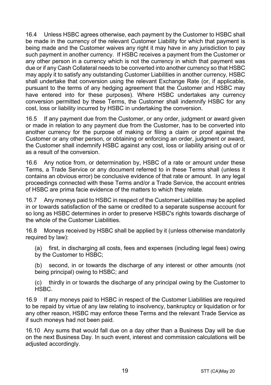16.4 Unless HSBC agrees otherwise, each payment by the Customer to HSBC shall be made in the currency of the relevant Customer Liability for which that payment is being made and the Customer waives any right it may have in any jurisdiction to pay such payment in another currency. If HSBC receives a payment from the Customer or any other person in a currency which is not the currency in which that payment was due or if any Cash Collateral needs to be converted into another currency so that HSBC may apply it to satisfy any outstanding Customer Liabilities in another currency, HSBC shall undertake that conversion using the relevant Exchange Rate (or, if applicable, pursuant to the terms of any hedging agreement that the Customer and HSBC may have entered into for these purposes). Where HSBC undertakes any currency conversion permitted by these Terms, the Customer shall indemnify HSBC for any cost, loss or liability incurred by HSBC in undertaking the conversion.

16.5 If any payment due from the Customer, or any order, judgment or award given or made in relation to any payment due from the Customer, has to be converted into another currency for the purpose of making or filing a claim or proof against the Customer or any other person, or obtaining or enforcing an order, judgment or award, the Customer shall indemnify HSBC against any cost, loss or liability arising out of or as a result of the conversion.

16.6 Any notice from, or determination by, HSBC of a rate or amount under these Terms, a Trade Service or any document referred to in these Terms shall (unless it contains an obvious error) be conclusive evidence of that rate or amount. In any legal proceedings connected with these Terms and/or a Trade Service, the account entries of HSBC are prima facie evidence of the matters to which they relate.

16.7 Any moneys paid to HSBC in respect of the Customer Liabilities may be applied in or towards satisfaction of the same or credited to a separate suspense account for so long as HSBC determines in order to preserve HSBC's rights towards discharge of the whole of the Customer Liabilities.

16.8 Moneys received by HSBC shall be applied by it (unless otherwise mandatorily required by law):

(a) first, in discharging all costs, fees and expenses (including legal fees) owing by the Customer to HSBC;

(b) second, in or towards the discharge of any interest or other amounts (not being principal) owing to HSBC; and

(c) thirdly in or towards the discharge of any principal owing by the Customer to HSBC.

16.9 If any moneys paid to HSBC in respect of the Customer Liabilities are required to be repaid by virtue of any law relating to insolvency, bankruptcy or liquidation or for any other reason, HSBC may enforce these Terms and the relevant Trade Service as if such moneys had not been paid.

16.10 Any sums that would fall due on a day other than a Business Day will be due on the next Business Day. In such event, interest and commission calculations will be adiusted accordingly.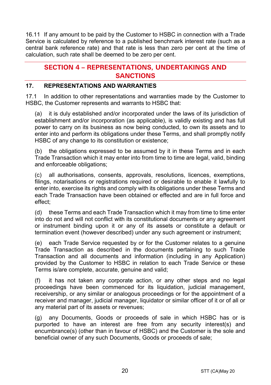16.11 If any amount to be paid by the Customer to HSBC in connection with a Trade Service is calculated by reference to a published benchmark interest rate (such as a central bank reference rate) and that rate is less than zero per cent at the time of calculation, such rate shall be deemed to be zero per cent.

# **SECTION 4 – REPRESENTATIONS, UNDERTAKINGS AND SANCTIONS**

# **17. REPRESENTATIONS AND WARRANTIES**

17.1 In addition to other representations and warranties made by the Customer to HSBC, the Customer represents and warrants to HSBC that:

(a) it is duly established and/or incorporated under the laws of its jurisdiction of establishment and/or incorporation (as applicable), is validly existing and has full power to carry on its business as now being conducted, to own its assets and to enter into and perform its obligations under these Terms, and shall promptly notify HSBC of any change to its constitution or existence;

(b) the obligations expressed to be assumed by it in these Terms and in each Trade Transaction which it may enter into from time to time are legal, valid, binding and enforceable obligations;

(c) all authorisations, consents, approvals, resolutions, licences, exemptions, filings, notarisations or registrations required or desirable to enable it lawfully to enter into, exercise its rights and comply with its obligations under these Terms and each Trade Transaction have been obtained or effected and are in full force and effect;

(d) these Terms and each Trade Transaction which it may from time to time enter into do not and will not conflict with its constitutional documents or any agreement or instrument binding upon it or any of its assets or constitute a default or termination event (however described) under any such agreement or instrument;

(e) each Trade Service requested by or for the Customer relates to a genuine Trade Transaction as described in the documents pertaining to such Trade Transaction and all documents and information (including in any Application) provided by the Customer to HSBC in relation to each Trade Service or these Terms is/are complete, accurate, genuine and valid;

(f) it has not taken any corporate action, or any other steps and no legal proceedings have been commenced for its liquidation, judicial management, receivership, or any similar or analogous proceedings or for the appointment of a receiver and manager, judicial manager, liquidator or similar officer of it or of all or any material part of its assets or revenues;

(g) any Documents, Goods or proceeds of sale in which HSBC has or is purported to have an interest are free from any security interest(s) and encumbrance(s) (other than in favour of HSBC) and the Customer is the sole and beneficial owner of any such Documents, Goods or proceeds of sale;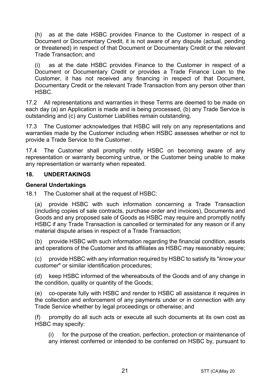(h) as at the date HSBC provides Finance to the Customer in respect of a Document or Documentary Credit, it is not aware of any dispute (actual, pending or threatened) in respect of that Document or Documentary Credit or the relevant Trade Transaction; and

(i) as at the date HSBC provides Finance to the Customer in respect of a Document or Documentary Credit or provides a Trade Finance Loan to the Customer, it has not received any financing in respect of that Document, Documentary Credit or the relevant Trade Transaction from any person other than HSBC.

17.2 All representations and warranties in these Terms are deemed to be made on each day (a) an Application is made and is being processed, (b) any Trade Service is outstanding and (c) any Customer Liabilities remain outstanding.

17.3 The Customer acknowledges that HSBC will rely on any representations and warranties made by the Customer including when HSBC assesses whether or not to provide a Trade Service to the Customer.

17.4 The Customer shall promptly notify HSBC on becoming aware of any representation or warranty becoming untrue, or the Customer being unable to make any representation or warranty when repeated.

#### **18. UNDERTAKINGS**

#### **General Undertakings**

18.1 The Customer shall at the request of HSBC:

(a) provide HSBC with such information concerning a Trade Transaction (including copies of sale contracts, purchase order and invoices), Documents and Goods and any proposed sale of Goods as HSBC may require and promptly notify HSBC if any Trade Transaction is cancelled or terminated for any reason or if any material dispute arises in respect of a Trade Transaction;

(b) provide HSBC with such information regarding the financial condition, assets and operations of the Customer and its affiliates as HSBC may reasonably require;

(c) provide HSBC with any information required by HSBC to satisfy its "*know your customer*" or similar identification procedures;

(d) keep HSBC informed of the whereabouts of the Goods and of any change in the condition, quality or quantity of the Goods;

(e) co-operate fully with HSBC and render to HSBC all assistance it requires in the collection and enforcement of any payments under or in connection with any Trade Service whether by legal proceedings or otherwise; and

(f) promptly do all such acts or execute all such documents at its own cost as HSBC may specify:

(i) for the purpose of the creation, perfection, protection or maintenance of any interest conferred or intended to be conferred on HSBC by, pursuant to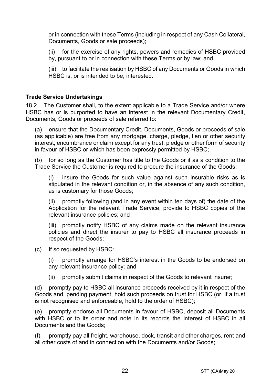or in connection with these Terms (including in respect of any Cash Collateral, Documents, Goods or sale proceeds);

(ii) for the exercise of any rights, powers and remedies of HSBC provided by, pursuant to or in connection with these Terms or by law; and

(iii) to facilitate the realisation by HSBC of any Documents or Goods in which HSBC is, or is intended to be, interested.

#### **Trade Service Undertakings**

18.2 The Customer shall, to the extent applicable to a Trade Service and/or where HSBC has or is purported to have an interest in the relevant Documentary Credit, Documents, Goods or proceeds of sale referred to:

(a) ensure that the Documentary Credit, Documents, Goods or proceeds of sale (as applicable) are free from any mortgage, charge, pledge, lien or other security interest, encumbrance or claim except for any trust, pledge or other form of security in favour of HSBC or which has been expressly permitted by HSBC;

(b) for so long as the Customer has title to the Goods or if as a condition to the Trade Service the Customer is required to procure the insurance of the Goods:

(i) insure the Goods for such value against such insurable risks as is stipulated in the relevant condition or, in the absence of any such condition, as is customary for those Goods;

(ii) promptly following (and in any event within ten days of) the date of the Application for the relevant Trade Service, provide to HSBC copies of the relevant insurance policies; and

(iii) promptly notify HSBC of any claims made on the relevant insurance policies and direct the insurer to pay to HSBC all insurance proceeds in respect of the Goods;

(c) if so requested by HSBC:

(i) promptly arrange for HSBC's interest in the Goods to be endorsed on any relevant insurance policy; and

(ii) promptly submit claims in respect of the Goods to relevant insurer;

(d) promptly pay to HSBC all insurance proceeds received by it in respect of the Goods and, pending payment, hold such proceeds on trust for HSBC (or, if a trust is not recognised and enforceable, hold to the order of HSBC);

(e) promptly endorse all Documents in favour of HSBC, deposit all Documents with HSBC or to its order and note in its records the interest of HSBC in all Documents and the Goods;

(f) promptly pay all freight, warehouse, dock, transit and other charges, rent and all other costs of and in connection with the Documents and/or Goods;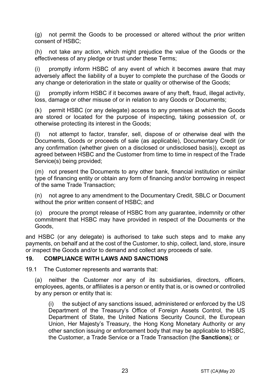(g) not permit the Goods to be processed or altered without the prior written consent of HSBC;

(h) not take any action, which might prejudice the value of the Goods or the effectiveness of any pledge or trust under these Terms;

(i) promptly inform HSBC of any event of which it becomes aware that may adversely affect the liability of a buyer to complete the purchase of the Goods or any change or deterioration in the state or quality or otherwise of the Goods;

(j) promptly inform HSBC if it becomes aware of any theft, fraud, illegal activity, loss, damage or other misuse of or in relation to any Goods or Documents;

(k) permit HSBC (or any delegate) access to any premises at which the Goods are stored or located for the purpose of inspecting, taking possession of, or otherwise protecting its interest in the Goods;

(l) not attempt to factor, transfer, sell, dispose of or otherwise deal with the Documents, Goods or proceeds of sale (as applicable), Documentary Credit (or any confirmation (whether given on a disclosed or undisclosed basis)), except as agreed between HSBC and the Customer from time to time in respect of the Trade Service(s) being provided;

(m) not present the Documents to any other bank, financial institution or similar type of financing entity or obtain any form of financing and/or borrowing in respect of the same Trade Transaction;

(n) not agree to any amendment to the Documentary Credit, SBLC or Document without the prior written consent of HSBC; and

(o) procure the prompt release of HSBC from any guarantee, indemnity or other commitment that HSBC may have provided in respect of the Documents or the Goods,

and HSBC (or any delegate) is authorised to take such steps and to make any payments, on behalf and at the cost of the Customer, to ship, collect, land, store, insure or inspect the Goods and/or to demand and collect any proceeds of sale.

#### **19. COMPLIANCE WITH LAWS AND SANCTIONS**

19.1 The Customer represents and warrants that:

(a) neither the Customer nor any of its subsidiaries, directors, officers, employees, agents, or affiliates is a person or entity that is, or is owned or controlled by any person or entity that is:

(i) the subject of any sanctions issued, administered or enforced by the US Department of the Treasury's Office of Foreign Assets Control, the US Department of State, the United Nations Security Council, the European Union, Her Majesty's Treasury, the Hong Kong Monetary Authority or any other sanction issuing or enforcement body that may be applicable to HSBC, the Customer, a Trade Service or a Trade Transaction (the **Sanctions**); or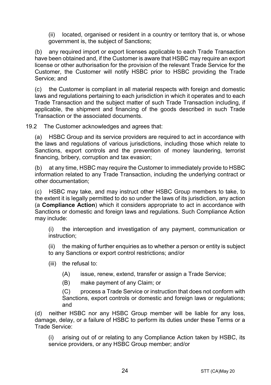(ii) located, organised or resident in a country or territory that is, or whose government is, the subject of Sanctions;

(b) any required import or export licenses applicable to each Trade Transaction have been obtained and, if the Customer is aware that HSBC may require an export license or other authorisation for the provision of the relevant Trade Service for the Customer, the Customer will notify HSBC prior to HSBC providing the Trade Service; and

(c) the Customer is compliant in all material respects with foreign and domestic laws and regulations pertaining to each jurisdiction in which it operates and to each Trade Transaction and the subject matter of such Trade Transaction including, if applicable, the shipment and financing of the goods described in such Trade Transaction or the associated documents.

19.2 The Customer acknowledges and agrees that:

(a) HSBC Group and its service providers are required to act in accordance with the laws and regulations of various jurisdictions, including those which relate to Sanctions, export controls and the prevention of money laundering, terrorist financing, bribery, corruption and tax evasion;

(b) at any time, HSBC may require the Customer to immediately provide to HSBC information related to any Trade Transaction, including the underlying contract or other documentation;

(c) HSBC may take, and may instruct other HSBC Group members to take, to the extent it is legally permitted to do so under the laws of its jurisdiction, any action (a **Compliance Action**) which it considers appropriate to act in accordance with Sanctions or domestic and foreign laws and regulations. Such Compliance Action may include:

(i) the interception and investigation of any payment, communication or instruction;

(ii) the making of further enquiries as to whether a person or entity is subject to any Sanctions or export control restrictions; and/or

- (iii) the refusal to:
	- (A) issue, renew, extend, transfer or assign a Trade Service;
	- (B) make payment of any Claim; or

(C) process a Trade Service or instruction that does not conform with Sanctions, export controls or domestic and foreign laws or regulations; and

(d) neither HSBC nor any HSBC Group member will be liable for any loss, damage, delay, or a failure of HSBC to perform its duties under these Terms or a Trade Service:

(i) arising out of or relating to any Compliance Action taken by HSBC, its service providers, or any HSBC Group member; and/or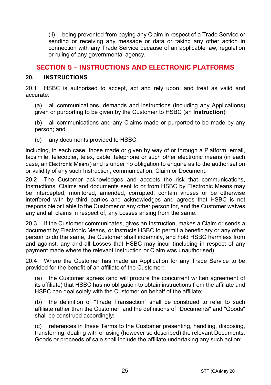(ii) being prevented from paying any Claim in respect of a Trade Service or sending or receiving any message or data or taking any other action in connection with any Trade Service because of an applicable law, regulation or ruling of any governmental agency.

# **SECTION 5 – INSTRUCTIONS AND ELECTRONIC PLATFORMS**

#### **20. INSTRUCTIONS**

20.1 HSBC is authorised to accept, act and rely upon, and treat as valid and accurate:

(a) all communications, demands and instructions (including any Applications) given or purporting to be given by the Customer to HSBC (an **Instruction**);

(b) all communications and any Claims made or purported to be made by any person; and

(c) any documents provided to HSBC,

including, in each case, those made or given by way of or through a Platform, email, facsimile, telecopier, telex, cable, telephone or such other electronic means (in each case, an Electronic Means) and is under no obligation to enquire as to the authorisation or validity of any such Instruction, communication, Claim or Document.

20.2 The Customer acknowledges and accepts the risk that communications, Instructions, Claims and documents sent to or from HSBC by Electronic Means may be intercepted, monitored, amended, corrupted, contain viruses or be otherwise interfered with by third parties and acknowledges and agrees that HSBC is not responsible or liable to the Customer or any other person for, and the Customer waives any and all claims in respect of, any Losses arising from the same.

20.3 If the Customer communicates, gives an Instruction, makes a Claim or sends a document by Electronic Means, or instructs HSBC to permit a beneficiary or any other person to do the same, the Customer shall indemnify, and hold HSBC harmless from and against, any and all Losses that HSBC may incur (including in respect of any payment made where the relevant Instruction or Claim was unauthorised).

20.4 Where the Customer has made an Application for any Trade Service to be provided for the benefit of an affiliate of the Customer:

(a) the Customer agrees (and will procure the concurrent written agreement of its affiliate) that HSBC has no obligation to obtain instructions from the affiliate and HSBC can deal solely with the Customer on behalf of the affiliate;

(b) the definition of "Trade Transaction" shall be construed to refer to such affiliate rather than the Customer, and the definitions of "Documents" and "Goods" shall be construed accordingly;

(c) references in these Terms to the Customer presenting, handling, disposing, transferring, dealing with or using (however so described) the relevant Documents, Goods or proceeds of sale shall include the affiliate undertaking any such action;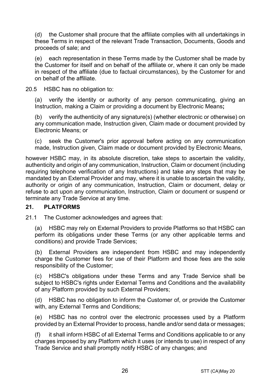(d) the Customer shall procure that the affiliate complies with all undertakings in these Terms in respect of the relevant Trade Transaction, Documents, Goods and proceeds of sale; and

(e) each representation in these Terms made by the Customer shall be made by the Customer for itself and on behalf of the affiliate or, where it can only be made in respect of the affiliate (due to factual circumstances), by the Customer for and on behalf of the affiliate.

20.5 HSBC has no obligation to:

(a) verify the identity or authority of any person communicating, giving an Instruction, making a Claim or providing a document by Electronic Means**;**

(b) verify the authenticity of any signature(s) (whether electronic or otherwise) on any communication made, Instruction given, Claim made or document provided by Electronic Means; or

(c) seek the Customer's prior approval before acting on any communication made, Instruction given, Claim made or document provided by Electronic Means,

however HSBC may, in its absolute discretion, take steps to ascertain the validity, authenticity and origin of any communication, Instruction, Claim or document (including requiring telephone verification of any Instructions) and take any steps that may be mandated by an External Provider and may, where it is unable to ascertain the validity, authority or origin of any communication, Instruction, Claim or document, delay or refuse to act upon any communication, Instruction, Claim or document or suspend or terminate any Trade Service at any time.

# **21. PLATFORMS**

21.1 The Customer acknowledges and agrees that:

(a) HSBC may rely on External Providers to provide Platforms so that HSBC can perform its obligations under these Terms (or any other applicable terms and conditions) and provide Trade Services;

(b) External Providers are independent from HSBC and may independently charge the Customer fees for use of their Platform and those fees are the sole responsibility of the Customer;

(c) HSBC's obligations under these Terms and any Trade Service shall be subject to HSBC's rights under External Terms and Conditions and the availability of any Platform provided by such External Providers;

(d) HSBC has no obligation to inform the Customer of, or provide the Customer with, any External Terms and Conditions;

(e) HSBC has no control over the electronic processes used by a Platform provided by an External Provider to process, handle and/or send data or messages;

(f) it shall inform HSBC of all External Terms and Conditions applicable to or any charges imposed by any Platform which it uses (or intends to use) in respect of any Trade Service and shall promptly notify HSBC of any changes; and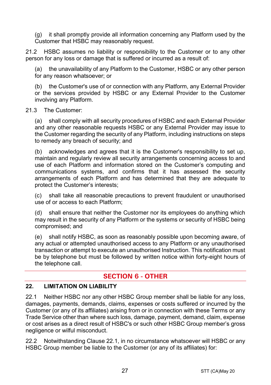(g) it shall promptly provide all information concerning any Platform used by the Customer that HSBC may reasonably request.

21.2 HSBC assumes no liability or responsibility to the Customer or to any other person for any loss or damage that is suffered or incurred as a result of:

(a) the unavailability of any Platform to the Customer, HSBC or any other person for any reason whatsoever; or

(b) the Customer's use of or connection with any Platform, any External Provider or the services provided by HSBC or any External Provider to the Customer involving any Platform.

#### 21.3 The Customer:

(a) shall comply with all security procedures of HSBC and each External Provider and any other reasonable requests HSBC or any External Provider may issue to the Customer regarding the security of any Platform, including instructions on steps to remedy any breach of security; and

(b) acknowledges and agrees that it is the Customer's responsibility to set up, maintain and regularly review all security arrangements concerning access to and use of each Platform and information stored on the Customer's computing and communications systems, and confirms that it has assessed the security arrangements of each Platform and has determined that they are adequate to protect the Customer's interests;

(c) shall take all reasonable precautions to prevent fraudulent or unauthorised use of or access to each Platform;

(d) shall ensure that neither the Customer nor its employees do anything which may result in the security of any Platform or the systems or security of HSBC being compromised; and

(e) shall notify HSBC, as soon as reasonably possible upon becoming aware, of any actual or attempted unauthorised access to any Platform or any unauthorised transaction or attempt to execute an unauthorised Instruction. This notification must be by telephone but must be followed by written notice within forty-eight hours of the telephone call.

# **SECTION 6 - OTHER**

# **22. LIMITATION ON LIABILITY**

22.1 Neither HSBC nor any other HSBC Group member shall be liable for any loss, damages, payments, demands, claims, expenses or costs suffered or incurred by the Customer (or any of its affiliates) arising from or in connection with these Terms or any Trade Service other than where such loss, damage, payment, demand, claim, expense or cost arises as a direct result of HSBC's or such other HSBC Group member's gross negligence or wilful misconduct.

22.2 Notwithstanding Clause 22.1, in no circumstance whatsoever will HSBC or any HSBC Group member be liable to the Customer (or any of its affiliates) for: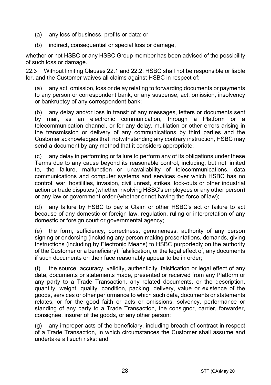- (a) any loss of business, profits or data; or
- (b) indirect, consequential or special loss or damage,

whether or not HSBC or any HSBC Group member has been advised of the possibility of such loss or damage.

22.3 Without limiting Clauses 22.1 and 22.2, HSBC shall not be responsible or liable for, and the Customer waives all claims against HSBC in respect of:

(a) any act, omission, loss or delay relating to forwarding documents or payments to any person or correspondent bank, or any suspense, act, omission, insolvency or bankruptcy of any correspondent bank;

(b) any delay and/or loss in transit of any messages, letters or documents sent by mail, as an electronic communication, through a Platform or a telecommunication channel, or for any delay, mutilation or other errors arising in the transmission or delivery of any communications by third parties and the Customer acknowledges that, notwithstanding any contrary instruction, HSBC may send a document by any method that it considers appropriate;

(c) any delay in performing or failure to perform any of its obligations under these Terms due to any cause beyond its reasonable control, including, but not limited to, the failure, malfunction or unavailability of telecommunications, data communications and computer systems and services over which HSBC has no control, war, hostilities, invasion, civil unrest, strikes, lock-outs or other industrial action or trade disputes (whether involving HSBC's employees or any other person) or any law or government order (whether or not having the force of law);

(d) any failure by HSBC to pay a Claim or other HSBC's act or failure to act because of any domestic or foreign law, regulation, ruling or interpretation of any domestic or foreign court or governmental agency;

(e) the form, sufficiency, correctness, genuineness, authority of any person signing or endorsing (including any person making presentations, demands, giving Instructions (including by Electronic Means) to HSBC purportedly on the authority of the Customer or a beneficiary), falsification, or the legal effect of, any documents if such documents on their face reasonably appear to be in order;

(f) the source, accuracy, validity, authenticity, falsification or legal effect of any data, documents or statements made, presented or received from any Platform or any party to a Trade Transaction, any related documents, or the description, quantity, weight, quality, condition, packing, delivery, value or existence of the goods, services or other performance to which such data, documents or statements relates, or for the good faith or acts or omissions, solvency, performance or standing of any party to a Trade Transaction, the consignor, carrier, forwarder, consignee, insurer of the goods, or any other person;

(g) any improper acts of the beneficiary, including breach of contract in respect of a Trade Transaction, in which circumstances the Customer shall assume and undertake all such risks; and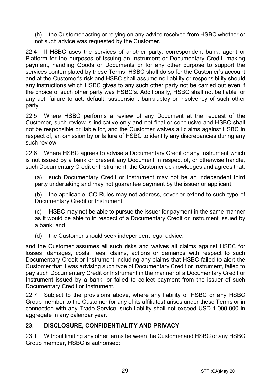(h) the Customer acting or relying on any advice received from HSBC whether or not such advice was requested by the Customer.

22.4 If HSBC uses the services of another party, correspondent bank, agent or Platform for the purposes of issuing an Instrument or Documentary Credit, making payment, handling Goods or Documents or for any other purpose to support the services contemplated by these Terms, HSBC shall do so for the Customer's account and at the Customer's risk and HSBC shall assume no liability or responsibility should any instructions which HSBC gives to any such other party not be carried out even if the choice of such other party was HSBC's. Additionally, HSBC shall not be liable for any act, failure to act, default, suspension, bankruptcy or insolvency of such other party.

22.5 Where HSBC performs a review of any Document at the request of the Customer, such review is indicative only and not final or conclusive and HSBC shall not be responsible or liable for, and the Customer waives all claims against HSBC in respect of, an omission by or failure of HSBC to identify any discrepancies during any such review.

22.6 Where HSBC agrees to advise a Documentary Credit or any Instrument which is not issued by a bank or present any Document in respect of, or otherwise handle, such Documentary Credit or Instrument, the Customer acknowledges and agrees that:

(a) such Documentary Credit or Instrument may not be an independent third party undertaking and may not quarantee payment by the issuer or applicant;

(b) the applicable ICC Rules may not address, cover or extend to such type of Documentary Credit or Instrument;

(c) HSBC may not be able to pursue the issuer for payment in the same manner as it would be able to in respect of a Documentary Credit or Instrument issued by a bank; and

(d) the Customer should seek independent legal advice,

and the Customer assumes all such risks and waives all claims against HSBC for losses, damages, costs, fees, claims, actions or demands with respect to such Documentary Credit or Instrument including any claims that HSBC failed to alert the Customer that it was advising such type of Documentary Credit or Instrument, failed to pay such Documentary Credit or Instrument in the manner of a Documentary Credit or Instrument issued by a bank, or failed to collect payment from the issuer of such Documentary Credit or Instrument.

22.7 Subject to the provisions above, where any liability of HSBC or any HSBC Group member to the Customer (or any of its affiliates) arises under these Terms or in connection with any Trade Service, such liability shall not exceed USD 1,000,000 in aggregate in any calendar year.

# **23. DISCLOSURE, CONFIDENTIALITY AND PRIVACY**

23.1 Without limiting any other terms between the Customer and HSBC or any HSBC Group member, HSBC is authorised: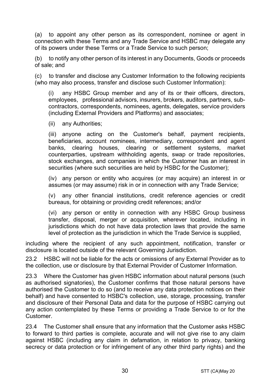(a) to appoint any other person as its correspondent, nominee or agent in connection with these Terms and any Trade Service and HSBC may delegate any of its powers under these Terms or a Trade Service to such person;

(b) to notify any other person of its interest in any Documents, Goods or proceeds of sale; and

(c) to transfer and disclose any Customer Information to the following recipients (who may also process, transfer and disclose such Customer Information):

(i) any HSBC Group member and any of its or their officers, directors, employees, professional advisors, insurers, brokers, auditors, partners, subcontractors, correspondents, nominees, agents, delegates, service providers (including External Providers and Platforms) and associates;

(ii) any Authorities;

(iii) anyone acting on the Customer's behalf, payment recipients, beneficiaries, account nominees, intermediary, correspondent and agent banks, clearing houses, clearing or settlement systems, market counterparties, upstream withholding agents, swap or trade repositories, stock exchanges, and companies in which the Customer has an interest in securities (where such securities are held by HSBC for the Customer);

(iv) any person or entity who acquires (or may acquire) an interest in or assumes (or may assume) risk in or in connection with any Trade Service;

(v) any other financial institutions, credit reference agencies or credit bureaus, for obtaining or providing credit references; and/or

(vi) any person or entity in connection with any HSBC Group business transfer, disposal, merger or acquisition, wherever located, including in jurisdictions which do not have data protection laws that provide the same level of protection as the jurisdiction in which the Trade Service is supplied,

including where the recipient of any such appointment, notification, transfer or disclosure is located outside of the relevant Governing Jurisdiction.

23.2 HSBC will not be liable for the acts or omissions of any External Provider as to the collection, use or disclosure by that External Provider of Customer Information.

23.3 Where the Customer has given HSBC information about natural persons (such as authorised signatories), the Customer confirms that those natural persons have authorised the Customer to do so (and to receive any data protection notices on their behalf) and have consented to HSBC's collection, use, storage, processing, transfer and disclosure of their Personal Data and data for the purpose of HSBC carrying out any action contemplated by these Terms or providing a Trade Service to or for the Customer.

23.4 The Customer shall ensure that any information that the Customer asks HSBC to forward to third parties is complete, accurate and will not give rise to any claim against HSBC (including any claim in defamation, in relation to privacy, banking secrecy or data protection or for infringement of any other third party rights) and the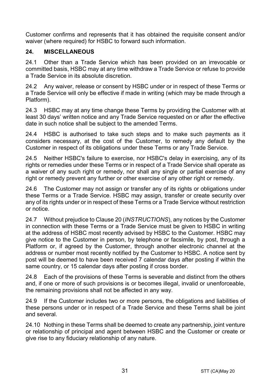Customer confirms and represents that it has obtained the requisite consent and/or waiver (where required) for HSBC to forward such information.

# **24. MISCELLANEOUS**

24.1 Other than a Trade Service which has been provided on an irrevocable or committed basis, HSBC may at any time withdraw a Trade Service or refuse to provide a Trade Service in its absolute discretion.

24.2 Any waiver, release or consent by HSBC under or in respect of these Terms or a Trade Service will only be effective if made in writing (which may be made through a Platform).

24.3 HSBC may at any time change these Terms by providing the Customer with at least 30 days' written notice and any Trade Service requested on or after the effective date in such notice shall be subject to the amended Terms.

24.4 HSBC is authorised to take such steps and to make such payments as it considers necessary, at the cost of the Customer, to remedy any default by the Customer in respect of its obligations under these Terms or any Trade Service.

24.5 Neither HSBC's failure to exercise, nor HSBC's delay in exercising, any of its rights or remedies under these Terms or in respect of a Trade Service shall operate as a waiver of any such right or remedy, nor shall any single or partial exercise of any right or remedy prevent any further or other exercise of any other right or remedy.

24.6 The Customer may not assign or transfer any of its rights or obligations under these Terms or a Trade Service. HSBC may assign, transfer or create security over any of its rights under or in respect of these Terms or a Trade Service without restriction or notice.

24.7 Without prejudice to Clause 20 (*INSTRUCTIONS*), any notices by the Customer in connection with these Terms or a Trade Service must be given to HSBC in writing at the address of HSBC most recently advised by HSBC to the Customer. HSBC may give notice to the Customer in person, by telephone or facsimile, by post, through a Platform or, if agreed by the Customer, through another electronic channel at the address or number most recently notified by the Customer to HSBC. A notice sent by post will be deemed to have been received 7 calendar days after posting if within the same country, or 15 calendar days after posting if cross border.

24.8 Each of the provisions of these Terms is severable and distinct from the others and, if one or more of such provisions is or becomes illegal, invalid or unenforceable, the remaining provisions shall not be affected in any way.

24.9 If the Customer includes two or more persons, the obligations and liabilities of these persons under or in respect of a Trade Service and these Terms shall be joint and several.

24.10 Nothing in these Terms shall be deemed to create any partnership, joint venture or relationship of principal and agent between HSBC and the Customer or create or give rise to any fiduciary relationship of any nature.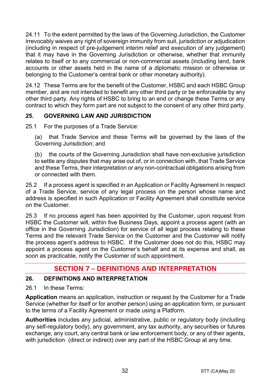24.11 To the extent permitted by the laws of the Governing Jurisdiction, the Customer irrevocably waives any right of sovereign immunity from suit, jurisdiction or adjudication (including in respect of pre-judgement interim relief and execution of any judgement) that it may have in the Governing Jurisdiction or otherwise, whether that immunity relates to itself or to any commercial or non-commercial assets (including land, bank accounts or other assets held in the name of a diplomatic mission or otherwise or belonging to the Customer's central bank or other monetary authority).

24.12 These Terms are for the benefit of the Customer, HSBC and each HSBC Group member, and are not intended to benefit any other third party or be enforceable by any other third party. Any rights of HSBC to bring to an end or change these Terms or any contract to which they form part are not subject to the consent of any other third party.

# **25. GOVERNING LAW AND JURISDICTION**

25.1 For the purposes of a Trade Service:

(a) that Trade Service and these Terms will be governed by the laws of the Governing Jurisdiction; and

(b) the courts of the Governing Jurisdiction shall have non-exclusive jurisdiction to settle any disputes that may arise out of, or in connection with, that Trade Service and these Terms, their interpretation or any non-contractual obligations arising from or connected with them.

25.2 If a process agent is specified in an Application or Facility Agreement in respect of a Trade Service, service of any legal process on the person whose name and address is specified in such Application or Facility Agreement shall constitute service on the Customer.

25.3 If no process agent has been appointed by the Customer, upon request from HSBC the Customer will, within five Business Days, appoint a process agent (with an office in the Governing Jurisdiction) for service of all legal process relating to these Terms and the relevant Trade Service on the Customer and the Customer will notify the process agent's address to HSBC. If the Customer does not do this, HSBC may appoint a process agent on the Customer's behalf and at its expense and shall, as soon as practicable, notify the Customer of such appointment.

# **SECTION 7 – DEFINITIONS AND INTERPRETATION**

# **26. DEFINITIONS AND INTERPRETATION**

26.1 In these Terms:

**Application** means an application, instruction or request by the Customer for a Trade Service (whether for itself or for another person) using an application form, or pursuant to the terms of a Facility Agreement or made using a Platform.

**Authorities** includes any judicial, administrative, public or regulatory body (including any self-regulatory body), any government, any tax authority, any securities or futures exchange, any court, any central bank or law enforcement body, or any of their agents, with jurisdiction (direct or indirect) over any part of the HSBC Group at any time.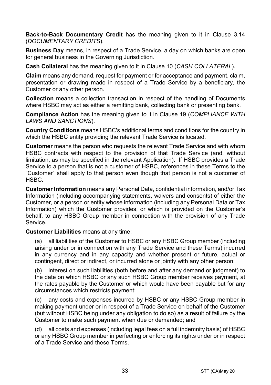**Back-to-Back Documentary Credit** has the meaning given to it in Clause 3.14 (*DOCUMENTARY CREDITS*).

**Business Day** means, in respect of a Trade Service, a day on which banks are open for general business in the Governing Jurisdiction.

**Cash Collateral** has the meaning given to it in Clause 10 (*CASH COLLATERAL*).

**Claim** means any demand, request for payment or for acceptance and payment, claim, presentation or drawing made in respect of a Trade Service by a beneficiary, the Customer or any other person.

**Collection** means a collection transaction in respect of the handling of Documents where HSBC may act as either a remitting bank, collecting bank or presenting bank.

**Compliance Action** has the meaning given to it in Clause 19 (*COMPLIANCE WITH LAWS AND SANCTIONS*).

**Country Conditions** means HSBC's additional terms and conditions for the country in which the HSBC entity providing the relevant Trade Service is located.

**Customer** means the person who requests the relevant Trade Service and with whom HSBC contracts with respect to the provision of that Trade Service (and, without limitation, as may be specified in the relevant Application). If HSBC provides a Trade Service to a person that is not a customer of HSBC, references in these Terms to the "Customer" shall apply to that person even though that person is not a customer of HSBC.

**Customer Information** means any Personal Data, confidential information, and/or Tax Information (including accompanying statements, waivers and consents) of either the Customer, or a person or entity whose information (including any Personal Data or Tax Information) which the Customer provides, or which is provided on the Customer's behalf, to any HSBC Group member in connection with the provision of any Trade Service.

**Customer Liabilities** means at any time:

(a) all liabilities of the Customer to HSBC or any HSBC Group member (including arising under or in connection with any Trade Service and these Terms) incurred in any currency and in any capacity and whether present or future, actual or contingent, direct or indirect, or incurred alone or jointly with any other person;

(b) interest on such liabilities (both before and after any demand or judgment) to the date on which HSBC or any such HSBC Group member receives payment, at the rates payable by the Customer or which would have been payable but for any circumstances which restricts payment;

(c) any costs and expenses incurred by HSBC or any HSBC Group member in making payment under or in respect of a Trade Service on behalf of the Customer (but without HSBC being under any obligation to do so) as a result of failure by the Customer to make such payment when due or demanded; and

(d) all costs and expenses (including legal fees on a full indemnity basis) of HSBC or any HSBC Group member in perfecting or enforcing its rights under or in respect of a Trade Service and these Terms.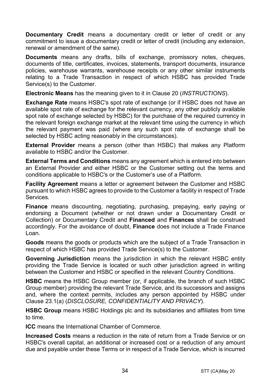**Documentary Credit** means a documentary credit or letter of credit or any commitment to issue a documentary credit or letter of credit (including any extension. renewal or amendment of the same).

**Documents** means any drafts, bills of exchange, promissory notes, cheques, documents of title, certificates, invoices, statements, transport documents, insurance policies, warehouse warrants, warehouse receipts or any other similar instruments relating to a Trade Transaction in respect of which HSBC has provided Trade Service(s) to the Customer.

**Electronic Means** has the meaning given to it in Clause 20 (*INSTRUCTIONS*).

**Exchange Rate** means HSBC's spot rate of exchange (or if HSBC does not have an available spot rate of exchange for the relevant currency, any other publicly available spot rate of exchange selected by HSBC) for the purchase of the required currency in the relevant foreign exchange market at the relevant time using the currency in which the relevant payment was paid (where any such spot rate of exchange shall be selected by HSBC acting reasonably in the circumstances).

**External Provider** means a person (other than HSBC) that makes any Platform available to HSBC and/or the Customer.

**External Terms and Conditions** means any agreement which is entered into between an External Provider and either HSBC or the Customer setting out the terms and conditions applicable to HSBC's or the Customer's use of a Platform.

**Facility Agreement** means a letter or agreement between the Customer and HSBC pursuant to which HSBC agrees to provide to the Customer a facility in respect of Trade Services.

**Finance** means discounting, negotiating, purchasing, prepaying, early paying or endorsing a Document (whether or not drawn under a Documentary Credit or Collection) or Documentary Credit and **Financed** and **Finances** shall be construed accordingly. For the avoidance of doubt, **Finance** does not include a Trade Finance Loan.

**Goods** means the goods or products which are the subject of a Trade Transaction in respect of which HSBC has provided Trade Service(s) to the Customer.

**Governing Jurisdiction** means the jurisdiction in which the relevant HSBC entity providing the Trade Service is located or such other jurisdiction agreed in writing between the Customer and HSBC or specified in the relevant Country Conditions.

**HSBC** means the HSBC Group member (or, if applicable, the branch of such HSBC Group member) providing the relevant Trade Service, and its successors and assigns and, where the context permits, includes any person appointed by HSBC under Clause 23.1(a) (*DISCLOSURE, CONFIDENTIALITY AND PRIVACY*).

**HSBC Group** means HSBC Holdings plc and its subsidiaries and affiliates from time to time.

**ICC** means the International Chamber of Commerce.

**Increased Costs** means a reduction in the rate of return from a Trade Service or on HSBC's overall capital, an additional or increased cost or a reduction of any amount due and payable under these Terms or in respect of a Trade Service, which is incurred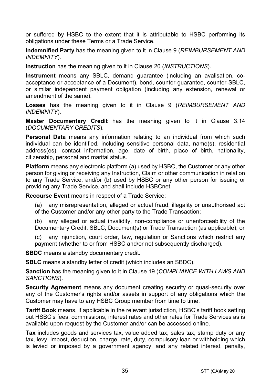or suffered by HSBC to the extent that it is attributable to HSBC performing its obligations under these Terms or a Trade Service.

**Indemnified Party** has the meaning given to it in Clause 9 (*REIMBURSEMENT AND INDEMNITY*).

**Instruction** has the meaning given to it in Clause 20 (*INSTRUCTIONS*).

**Instrument** means any SBLC, demand guarantee (including an avalisation, coacceptance or acceptance of a Document), bond, counter-guarantee, counter-SBLC, or similar independent payment obligation (including any extension, renewal or amendment of the same).

**Losses** has the meaning given to it in Clause 9 (*REIMBURSEMENT AND INDEMNITY*).

**Master Documentary Credit** has the meaning given to it in Clause 3.14 (*DOCUMENTARY CREDITS*).

**Personal Data** means any information relating to an individual from which such individual can be identified, including sensitive personal data, name(s), residential address(es), contact information, age, date of birth, place of birth, nationality, citizenship, personal and marital status.

**Platform** means any electronic platform (a) used by HSBC, the Customer or any other person for giving or receiving any Instruction, Claim or other communication in relation to any Trade Service, and/or (b) used by HSBC or any other person for issuing or providing any Trade Service, and shall include HSBCnet.

**Recourse Event** means in respect of a Trade Service:

(a) any misrepresentation, alleged or actual fraud, illegality or unauthorised act of the Customer and/or any other party to the Trade Transaction;

(b) any alleged or actual invalidity, non-compliance or unenforceability of the Documentary Credit, SBLC, Document(s) or Trade Transaction (as applicable); or

(c) any injunction, court order, law, regulation or Sanctions which restrict any payment (whether to or from HSBC and/or not subsequently discharged).

**SBDC** means a standby documentary credit.

**SBLC** means a standby letter of credit (which includes an SBDC).

**Sanction** has the meaning given to it in Clause 19 (*COMPLIANCE WITH LAWS AND SANCTIONS*).

**Security Agreement** means any document creating security or quasi-security over any of the Customer's rights and/or assets in support of any obligations which the Customer may have to any HSBC Group member from time to time.

**Tariff Book** means, if applicable in the relevant jurisdiction, HSBC's tariff book setting out HSBC's fees, commissions, interest rates and other rates for Trade Services as is available upon request by the Customer and/or can be accessed online.

**Tax** includes goods and services tax, value added tax, sales tax, stamp duty or any tax, levy, impost, deduction, charge, rate, duty, compulsory loan or withholding which is levied or imposed by a government agency, and any related interest, penalty,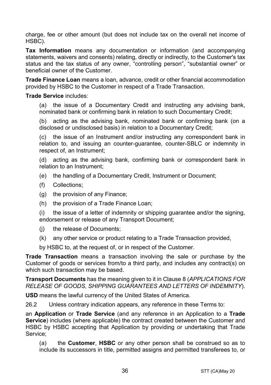charge, fee or other amount (but does not include tax on the overall net income of HSBC).

**Tax Information** means any documentation or information (and accompanying statements, waivers and consents) relating, directly or indirectly, to the Customer's tax status and the tax status of any owner, "controlling person", "substantial owner" or beneficial owner of the Customer.

**Trade Finance Loan** means a loan, advance, credit or other financial accommodation provided by HSBC to the Customer in respect of a Trade Transaction.

#### **Trade Service** includes:

(a) the issue of a Documentary Credit and instructing any advising bank, nominated bank or confirming bank in relation to such Documentary Credit;

(b) acting as the advising bank, nominated bank or confirming bank (on a disclosed or undisclosed basis) in relation to a Documentary Credit;

(c) the issue of an Instrument and/or instructing any correspondent bank in relation to, and issuing an counter-guarantee, counter-SBLC or indemnity in respect of, an Instrument;

(d) acting as the advising bank, confirming bank or correspondent bank in relation to an Instrument;

- (e) the handling of a Documentary Credit, Instrument or Document;
- (f) Collections;
- (g) the provision of any Finance;
- (h) the provision of a Trade Finance Loan;

(i) the issue of a letter of indemnity or shipping guarantee and/or the signing, endorsement or release of any Transport Document;

- (j) the release of Documents;
- (k) any other service or product relating to a Trade Transaction provided,

by HSBC to, at the request of, or in respect of the Customer.

**Trade Transaction** means a transaction involving the sale or purchase by the Customer of goods or services from/to a third party, and includes any contract(s) on which such transaction may be based.

**Transport Documents** has the meaning given to it in Clause 8 (*APPLICATIONS FOR RELEASE OF GOODS, SHIPPING GUARANTEES AND LETTERS OF INDEMNITY*).

**USD** means the lawful currency of the United States of America.

26.2 Unless contrary indication appears, any reference in these Terms to:

an **Application** or **Trade Service** (and any reference in an Application to a **Trade Service**) includes (where applicable) the contract created between the Customer and HSBC by HSBC accepting that Application by providing or undertaking that Trade Service;

(a) the **Customer**, **HSBC** or any other person shall be construed so as to include its successors in title, permitted assigns and permitted transferees to, or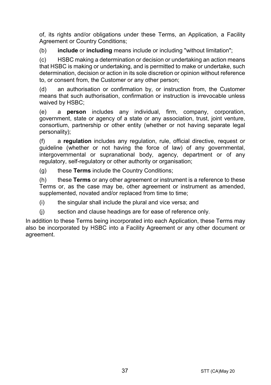of, its rights and/or obligations under these Terms, an Application, a Facility Agreement or Country Conditions:

(b) **include** or **including** means include or including "without limitation";

(c) HSBC making a determination or decision or undertaking an action means that HSBC is making or undertaking, and is permitted to make or undertake, such determination, decision or action in its sole discretion or opinion without reference to, or consent from, the Customer or any other person;

(d) an authorisation or confirmation by, or instruction from, the Customer means that such authorisation, confirmation or instruction is irrevocable unless waived by HSBC;

(e) a **person** includes any individual, firm, company, corporation, government, state or agency of a state or any association, trust, joint venture, consortium, partnership or other entity (whether or not having separate legal personality);

(f) a **regulation** includes any regulation, rule, official directive, request or guideline (whether or not having the force of law) of any governmental, intergovernmental or supranational body, agency, department or of any regulatory, self-regulatory or other authority or organisation;

(g) these **Terms** include the Country Conditions;

(h) these **Terms** or any other agreement or instrument is a reference to these Terms or, as the case may be, other agreement or instrument as amended, supplemented, novated and/or replaced from time to time;

(i) the singular shall include the plural and vice versa; and

(j) section and clause headings are for ease of reference only.

In addition to these Terms being incorporated into each Application, these Terms may also be incorporated by HSBC into a Facility Agreement or any other document or agreement.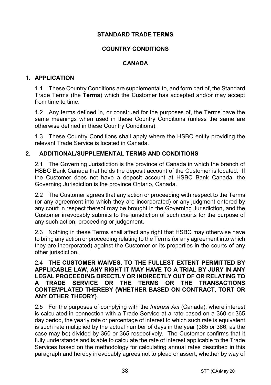# **STANDARD TRADE TERMS**

# **COUNTRY CONDITIONS**

# **CANADA**

#### **1. APPLICATION**

1.1 These Country Conditions are supplemental to, and form part of, the Standard Trade Terms (the **Terms**) which the Customer has accepted and/or may accept from time to time.

1.2 Any terms defined in, or construed for the purposes of, the Terms have the same meanings when used in these Country Conditions (unless the same are otherwise defined in these Country Conditions).

1.3 These Country Conditions shall apply where the HSBC entity providing the relevant Trade Service is located in Canada.

# **2. ADDITIONAL/SUPPLEMENTAL TERMS AND CONDITIONS**

2.1 The Governing Jurisdiction is the province of Canada in which the branch of HSBC Bank Canada that holds the deposit account of the Customer is located. If the Customer does not have a deposit account at HSBC Bank Canada, the Governing Jurisdiction is the province Ontario, Canada.

2.2 The Customer agrees that any action or proceeding with respect to the Terms (or any agreement into which they are incorporated) or any judgment entered by any court in respect thereof may be brought in the Governing Jurisdiction, and the Customer irrevocably submits to the jurisdiction of such courts for the purpose of any such action, proceeding or judgement.

2.3 Nothing in these Terms shall affect any right that HSBC may otherwise have to bring any action or proceeding relating to the Terms (or any agreement into which they are incorporated) against the Customer or its properties in the courts of any other jurisdiction.

#### 2.4 **THE CUSTOMER WAIVES, TO THE FULLEST EXTENT PERMITTED BY APPLICABLE LAW, ANY RIGHT IT MAY HAVE TO A TRIAL BY JURY IN ANY LEGAL PROCEEDING DIRECTLY OR INDIRECTLY OUT OF OR RELATING TO A TRADE SERVICE OR THE TERMS OR THE TRANSACTIONS CONTEMPLATED THEREBY (WHETHER BASED ON CONTRACT, TORT OR ANY OTHER THEORY)**.

2.5 For the purposes of complying with the *Interest Act* (Canada), where interest is calculated in connection with a Trade Service at a rate based on a 360 or 365 day period, the yearly rate or percentage of interest to which such rate is equivalent is such rate multiplied by the actual number of days in the year (365 or 366, as the case may be) divided by 360 or 365 respectively. The Customer confirms that it fully understands and is able to calculate the rate of interest applicable to the Trade Services based on the methodology for calculating annual rates described in this paragraph and hereby irrevocably agrees not to plead or assert, whether by way of